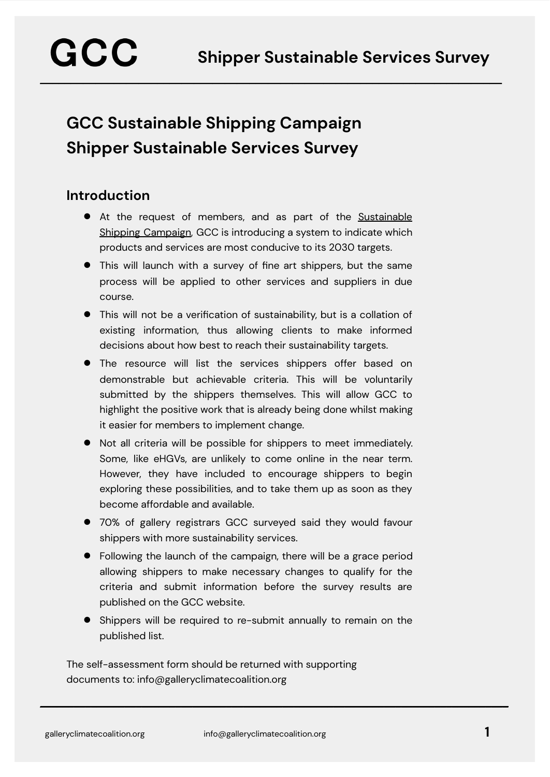# **GCC Sustainable Shipping Campaign Shipper Sustainable Services Survey**

#### **Introduction**

- At the request of members, and as part of the [Sustainable](https://galleryclimatecoalition.org/usr/library/documents/ssc/gcc_ssc_campaign-overview.pdf) Shipping [Campaign](https://galleryclimatecoalition.org/usr/library/documents/ssc/gcc_ssc_campaign-overview.pdf), GCC is introducing a system to indicate which products and services are most conducive to its 2030 targets.
- This will launch with a survey of fine art shippers, but the same process will be applied to other services and suppliers in due course.
- This will not be a verification of sustainability, but is a collation of existing information, thus allowing clients to make informed decisions about how best to reach their sustainability targets.
- The resource will list the services shippers offer based on demonstrable but achievable criteria. This will be voluntarily submitted by the shippers themselves. This will allow GCC to highlight the positive work that is already being done whilst making it easier for members to implement change.
- Not all criteria will be possible for shippers to meet immediately. Some, like eHGVs, are unlikely to come online in the near term. However, they have included to encourage shippers to begin exploring these possibilities, and to take them up as soon as they become affordable and available.
- 70% of gallery registrars GCC surveyed said they would favour shippers with more sustainability services.
- Following the launch of the campaign, there will be a grace period allowing shippers to make necessary changes to qualify for the criteria and submit information before the survey results are published on the GCC website.
- Shippers will be required to re-submit annually to remain on the published list.

The self-assessment form should be returned with supporting documents to: info@galleryclimatecoalition.org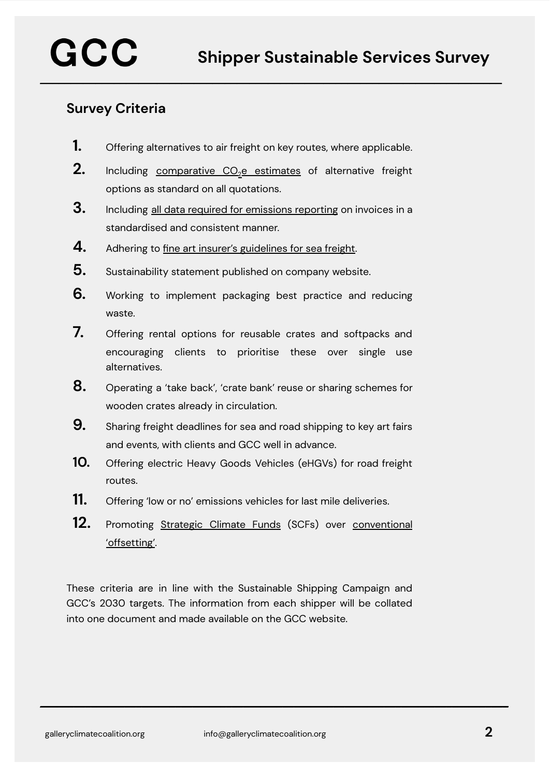#### **Survey Criteria**

- **1.** Offering alternatives to air freight on key routes, where applicable.
- **2.** Including [comparative](https://galleryclimatecoalition.org/usr/library/documents/ssc/gcc_ssc_emissions-data-standardisation.pdf) CO<sub>2</sub>e estimates of alternative freight options as standard on all quotations.
- **3.** Including all data required for [emissions](https://galleryclimatecoalition.org/usr/library/documents/ssc/gcc_ssc_emissions-data-standardisation.pdf) reporting on invoices in <sup>a</sup> standardised and consistent manner.
- **4.** Adhering to fine art insurer's [guidelines](https://galleryclimatecoalition.org/usr/library/documents/ssc/gcc_ssc_insurance-full-doc.pdf) for sea freight.
- **5.** Sustainability statement published on company website.
- **6.** Working to implement packaging best practice and reducing waste.
- **7.** Offering rental options for reusable crates and softpacks and encouraging clients to prioritise these over single use alternatives.
- **8.** Operating <sup>a</sup> 'take back', 'crate bank' reuse or sharing schemes for wooden crates already in circulation.
- **9.** Sharing freight deadlines for sea and road shipping to key art fairs and events, with clients and GCC well in advance.
- **10.** Offering electric Heavy Goods Vehicles (eHGVs) for road freight routes.
- **11.** Offering 'low or no' emissions vehicles for last mile deliveries.
- **12.** Promoting [Strategic](https://galleryclimatecoalition.org/scfs/) Climate Funds (SCFs) over [conventional](https://galleryclimatecoalition.org/news/39-gcc-commissioned-report-offsetting-and-a-better-alternative/) ['offsetting'](https://galleryclimatecoalition.org/news/39-gcc-commissioned-report-offsetting-and-a-better-alternative/).

These criteria are in line with the Sustainable Shipping Campaign and GCC's 2030 targets. The information from each shipper will be collated into one document and made available on the GCC website.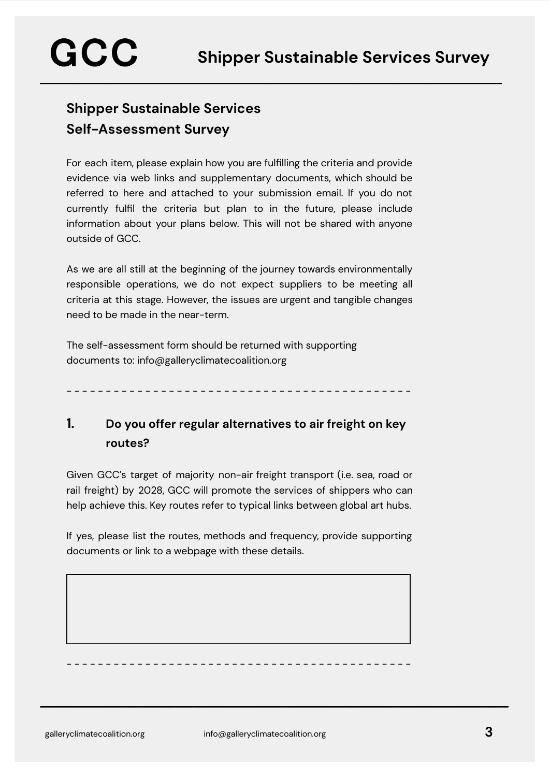## **Shipper Sustainable Services Self-Assessment Survey**

GCC

For each item, please explain how you are fulfilling the criteria and provide evidence via web links and supplementary documents, which should be referred to here and attached to your submission email. If you do not currently fulfil the criteria but plan to in the future, please include information about your plans below. This will not be shared with anyone outside of GCC.

**\_\_\_\_\_\_\_\_\_\_\_\_\_\_\_\_\_\_\_\_\_\_\_\_\_\_\_\_\_\_\_\_\_\_\_\_\_\_\_\_\_\_\_\_\_\_\_\_\_\_\_\_\_\_\_\_\_\_\_\_\_\_\_\_\_\_\_\_\_\_\_\_\_\_\_**

As we are all still at the beginning of the journey towards environmentally responsible operations, we do not expect suppliers to be meeting all criteria at this stage. However, the issues are urgent and tangible changes need to be made in the near-term.

The self-assessment form should be returned with supporting documents to: info@galleryclimatecoalition.org

- - - - - - - - - - - - - - - - - - - - - - - - - - - - - - - - - - - - - - - - - - - -

#### **1. Do you offer regular alternatives to air freight on key routes?**

Given GCC's target of majority non-air freight transport (i.e. sea, road or rail freight) by 2028, GCC will promote the services of shippers who can help achieve this. Key routes refer to typical links between global art hubs.

If yes, please list the routes, methods and frequency, provide supporting documents or link to a webpage with these details.

- - - - - - - - - - - - - - - - - - - - - - - - - - - - - - - - - - - - - - - - - - - -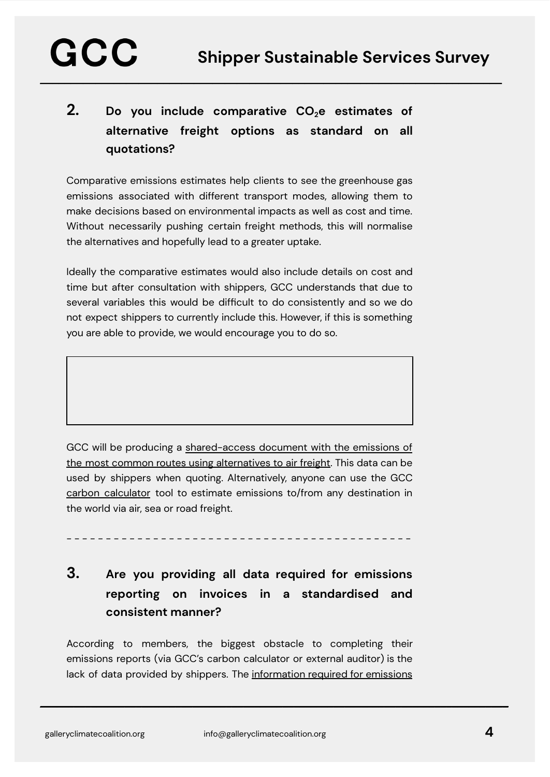## **2. Do you include comparative CO2e estimates of alternative freight options as standard on all quotations?**

**\_\_\_\_\_\_\_\_\_\_\_\_\_\_\_\_\_\_\_\_\_\_\_\_\_\_\_\_\_\_\_\_\_\_\_\_\_\_\_\_\_\_\_\_\_\_\_\_\_\_\_\_\_\_\_\_\_\_\_\_\_\_\_\_\_\_\_\_\_\_\_\_\_\_\_**

Comparative emissions estimates help clients to see the greenhouse gas emissions associated with different transport modes, allowing them to make decisions based on environmental impacts as well as cost and time. Without necessarily pushing certain freight methods, this will normalise the alternatives and hopefully lead to a greater uptake.

Ideally the comparative estimates would also include details on cost and time but after consultation with shippers, GCC understands that due to several variables this would be difficult to do consistently and so we do not expect shippers to currently include this. However, if this is something you are able to provide, we would encourage you to do so.

GCC will be producing a [shared-access](https://docs.google.com/spreadsheets/d/1lJBvjcfc4_BmiYdSuELiLQ6CglGjIFtv6-ILIbuCKBM/edit?usp=sharing) document with the emissions of the most common routes using [alternatives](https://docs.google.com/spreadsheets/d/1lJBvjcfc4_BmiYdSuELiLQ6CglGjIFtv6-ILIbuCKBM/edit?usp=sharing) to air freight. This data can be used by shippers when quoting. Alternatively, anyone can use the GCC carbon [calculator](https://galleryclimatecoalition.org/carbon-calculator/) tool to estimate emissions to/from any destination in the world via air, sea or road freight.

- - - - - - - - - - - - - - - - - - - - - - - - - - - - - - - - - - - - - - - - - - - -

### **3. Are you providing all data required for emissions reporting on invoices in a standardised and consistent manner?**

According to members, the biggest obstacle to completing their emissions reports (via GCC's carbon calculator or external auditor) is the lack of data provided by shippers. The [information](https://galleryclimatecoalition.org/usr/library/documents/ssc/gcc_ssc_emissions-data-standardisation.pdf) required for emissions

GCC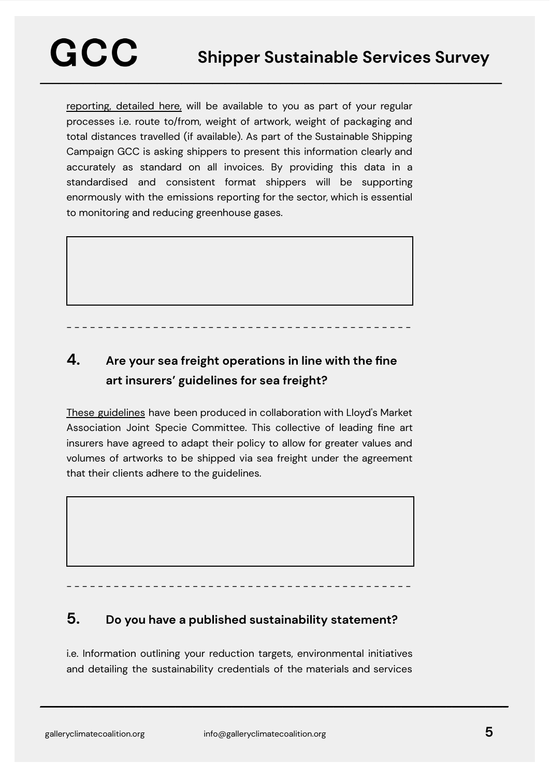[reporting,](https://galleryclimatecoalition.org/usr/library/documents/ssc/gcc_ssc_emissions-data-standardisation.pdf) detailed here, will be available to you as part of your regular processes i.e. route to/from, weight of artwork, weight of packaging and total distances travelled (if available). As part of the Sustainable Shipping Campaign GCC is asking shippers to present this information clearly and accurately as standard on all invoices. By providing this data in a standardised and consistent format shippers will be supporting enormously with the emissions reporting for the sector, which is essential to monitoring and reducing greenhouse gases.

### **4. Are your sea freight operations in line with the fine art insurers' guidelines for sea freight?**

- - - - - - - - - - - - - - - - - - - - - - - - - - - - - - - - - - - - - - - - - - - -

These [guidelines](https://galleryclimatecoalition.org/usr/library/documents/ssc/gcc_ssc_insurance-full-doc.pdf) have been produced in collaboration with Lloyd's Market Association Joint Specie Committee. This collective of leading fine art insurers have agreed to adapt their policy to allow for greater values and volumes of artworks to be shipped via sea freight under the agreement that their clients adhere to the guidelines.

#### **5. Do you have a published sustainability statement?**

- - - - - - - - - - - - - - - - - - - - - - - - - - - - - - - - - - - - - - - - - - - -

i.e. Information outlining your reduction targets, environmental initiatives and detailing the sustainability credentials of the materials and services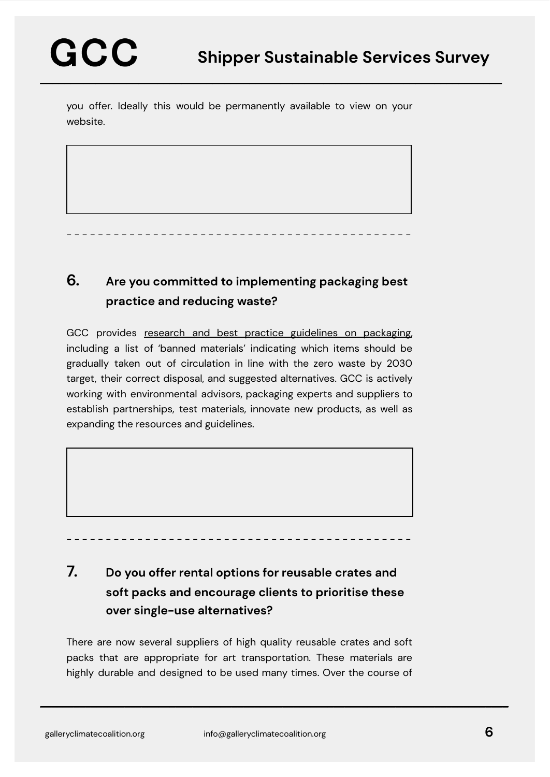you offer. Ideally this would be permanently available to view on your website.

**6. Are you committed to implementing packaging best practice and reducing waste?**

- - - - - - - - - - - - - - - - - - - - - - - - - - - - - - - - - - - - - - - - - - - -

GCC provides research and best practice guidelines on [packaging,](https://galleryclimatecoalition.org/packaging/) including a list of 'banned materials' indicating which items should be gradually taken out of circulation in line with the zero waste by 2030 target, their correct disposal, and suggested alternatives. GCC is actively working with environmental advisors, packaging experts and suppliers to establish partnerships, test materials, innovate new products, as well as expanding the resources and guidelines.



### **7. Do you offer rental options for reusable crates and soft packs and encourage clients to prioritise these over single-use alternatives?**

There are now several suppliers of high quality reusable crates and soft packs that are appropriate for art transportation. These materials are highly durable and designed to be used many times. Over the course of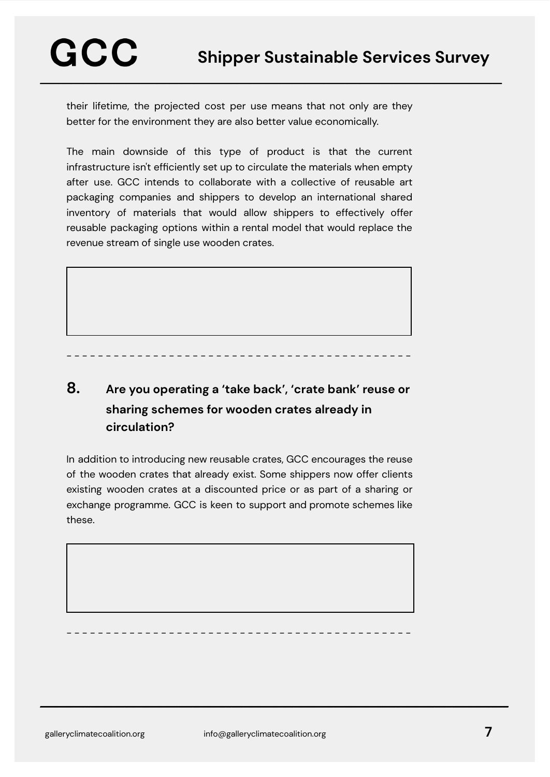**\_\_\_\_\_\_\_\_\_\_\_\_\_\_\_\_\_\_\_\_\_\_\_\_\_\_\_\_\_\_\_\_\_\_\_\_\_\_\_\_\_\_\_\_\_\_\_\_\_\_\_\_\_\_\_\_\_\_\_\_\_\_\_\_\_\_\_\_\_\_\_\_\_\_\_**

their lifetime, the projected cost per use means that not only are they better for the environment they are also better value economically.

The main downside of this type of product is that the current infrastructure isn't efficiently set up to circulate the materials when empty after use. GCC intends to collaborate with a collective of reusable art packaging companies and shippers to develop an international shared inventory of materials that would allow shippers to effectively offer reusable packaging options within a rental model that would replace the revenue stream of single use wooden crates.

- - - - - - - - - - - - - - - - - - - - - - - - - - - - - - - - - - - - - - - - - - - -

#### **8. Are you operating a 'take back', 'crate bank' reuse or sharing schemes for wooden crates already in circulation?**

In addition to introducing new reusable crates, GCC encourages the reuse of the wooden crates that already exist. Some shippers now offer clients existing wooden crates at a discounted price or as part of a sharing or exchange programme. GCC is keen to support and promote schemes like these.

- - - - - - - - - - - - - - - - - - - - - - - - - - - - - - - - - - - - - - - - - - - -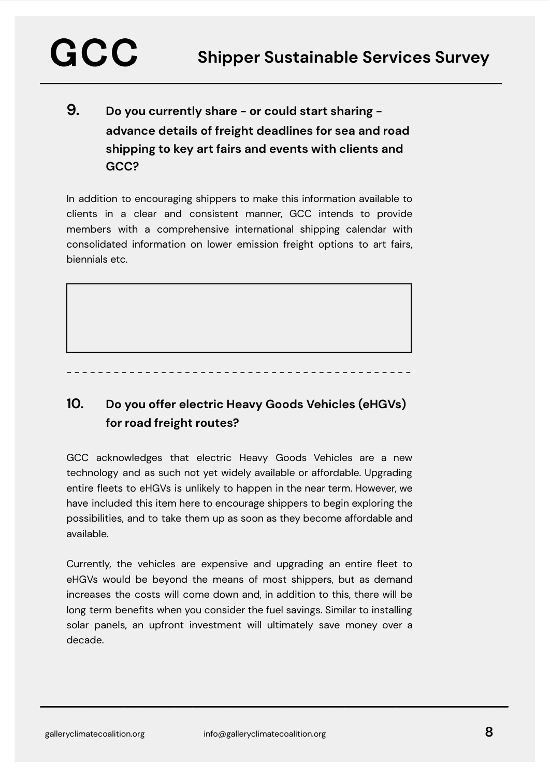### **9. Do you currently share - or could start sharing advance details of freight deadlines for sea and road shipping to key art fairs and events with clients and GCC?**

**\_\_\_\_\_\_\_\_\_\_\_\_\_\_\_\_\_\_\_\_\_\_\_\_\_\_\_\_\_\_\_\_\_\_\_\_\_\_\_\_\_\_\_\_\_\_\_\_\_\_\_\_\_\_\_\_\_\_\_\_\_\_\_\_\_\_\_\_\_\_\_\_\_\_\_**

In addition to encouraging shippers to make this information available to clients in a clear and consistent manner, GCC intends to provide members with a comprehensive international shipping calendar with consolidated information on lower emission freight options to art fairs, biennials etc.

- - - - - - - - - - - - - - - - - - - - - - - - - - - - - - - - - - - - - - - - - - - -

#### **10. Do you offer electric Heavy Goods Vehicles (eHGVs) for road freight routes?**

GCC acknowledges that electric Heavy Goods Vehicles are a new technology and as such not yet widely available or affordable. Upgrading entire fleets to eHGVs is unlikely to happen in the near term. However, we have included this item here to encourage shippers to begin exploring the possibilities, and to take them up as soon as they become affordable and available.

Currently, the vehicles are expensive and upgrading an entire fleet to eHGVs would be beyond the means of most shippers, but as demand increases the costs will come down and, in addition to this, there will be long term benefits when you consider the fuel savings. Similar to installing solar panels, an upfront investment will ultimately save money over a decade.

GCC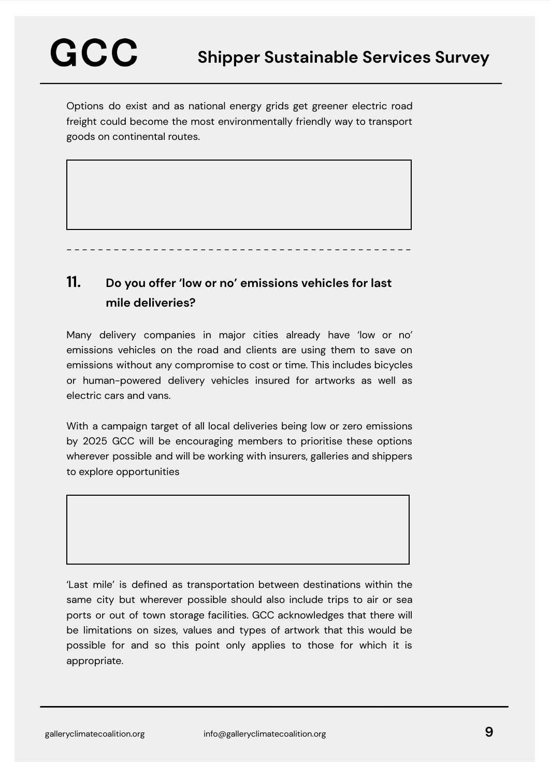Options do exist and as national energy grids get greener electric road freight could become the most environmentally friendly way to transport goods on continental routes.

- - - - - - - - - - - - - - - - - - - - - - - - - - - - - - - - - - - - - - - - - - - -

#### **11. Do you offer 'low or no' emissions vehicles for last mile deliveries?**

Many delivery companies in major cities already have 'low or no' emissions vehicles on the road and clients are using them to save on emissions without any compromise to cost or time. This includes bicycles or human-powered delivery vehicles insured for artworks as well as electric cars and vans.

With a campaign target of all local deliveries being low or zero emissions by 2025 GCC will be encouraging members to prioritise these options wherever possible and will be working with insurers, galleries and shippers to explore opportunities

'Last mile' is defined as transportation between destinations within the same city but wherever possible should also include trips to air or sea ports or out of town storage facilities. GCC acknowledges that there will be limitations on sizes, values and types of artwork that this would be possible for and so this point only applies to those for which it is appropriate.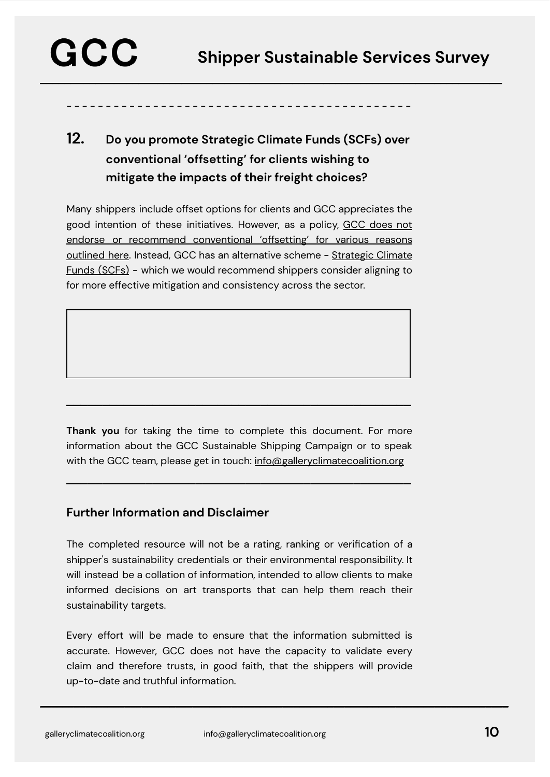- - - - - - - - - - - - - - - - - - - - - - - - - - - - - - - - - - - - - - - - - - - -

### **12. Do you promote Strategic Climate Funds (SCFs) over conventional 'offsetting' for clients wishing to mitigate the impacts of their freight choices?**

Many shippers include offset options for clients and GCC appreciates the good intention of these initiatives. However, as a policy, GCC [does](https://galleryclimatecoalition.org/news/39-gcc-commissioned-report-offsetting-and-a-better-alternative/) not endorse or recommend [conventional](https://galleryclimatecoalition.org/news/39-gcc-commissioned-report-offsetting-and-a-better-alternative/) 'offsetting' for various reasons [outlined](https://galleryclimatecoalition.org/news/39-gcc-commissioned-report-offsetting-and-a-better-alternative/) here. Instead, GCC has an alternative scheme - [Strategic](https://galleryclimatecoalition.org/scfs/) Climate Funds [\(SCFs\)](https://galleryclimatecoalition.org/scfs/) - which we would recommend shippers consider aligning to for more effective mitigation and consistency across the sector.

**Thank you** for taking the time to complete this document. For more information about the GCC Sustainable Shipping Campaign or to speak with the GCC team, please get in touch: [info@galleryclimatecoalition.org](mailto:info@galleryclimatecoalition.org)

**\_\_\_\_\_\_\_\_\_\_\_\_\_\_\_\_\_\_\_\_\_\_\_\_\_\_\_\_\_\_\_\_\_\_\_\_\_\_\_\_\_\_\_\_\_\_\_\_**

**\_\_\_\_\_\_\_\_\_\_\_\_\_\_\_\_\_\_\_\_\_\_\_\_\_\_\_\_\_\_\_\_\_\_\_\_\_\_\_\_\_\_\_\_\_\_\_\_**

#### **Further Information and Disclaimer**

The completed resource will not be a rating, ranking or verification of a shipper's sustainability credentials or their environmental responsibility. It will instead be a collation of information, intended to allow clients to make informed decisions on art transports that can help them reach their sustainability targets.

Every effort will be made to ensure that the information submitted is accurate. However, GCC does not have the capacity to validate every claim and therefore trusts, in good faith, that the shippers will provide up-to-date and truthful information.